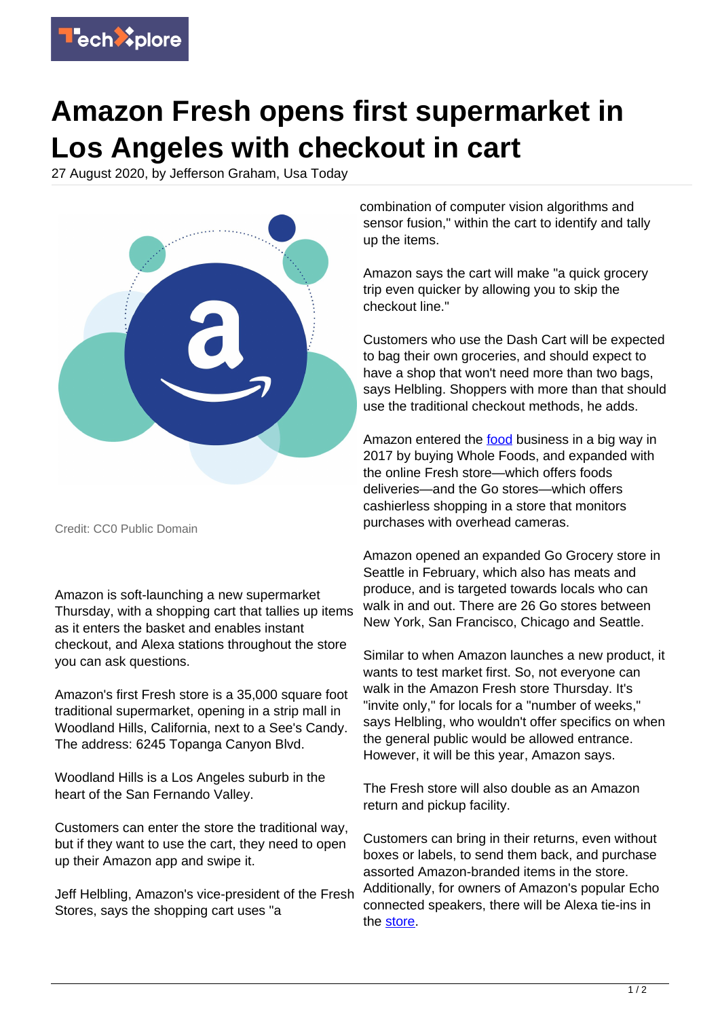

## **Amazon Fresh opens first supermarket in Los Angeles with checkout in cart**

27 August 2020, by Jefferson Graham, Usa Today



Credit: CC0 Public Domain

Amazon is soft-launching a new supermarket Thursday, with a shopping cart that tallies up items as it enters the basket and enables instant checkout, and Alexa stations throughout the store you can ask questions.

Amazon's first Fresh store is a 35,000 square foot traditional supermarket, opening in a strip mall in Woodland Hills, California, next to a See's Candy. The address: 6245 Topanga Canyon Blvd.

Woodland Hills is a Los Angeles suburb in the heart of the San Fernando Valley.

Customers can enter the store the traditional way, but if they want to use the cart, they need to open up their Amazon app and swipe it.

Jeff Helbling, Amazon's vice-president of the Fresh Stores, says the shopping cart uses "a

combination of computer vision algorithms and sensor fusion," within the cart to identify and tally up the items.

Amazon says the cart will make "a quick grocery trip even quicker by allowing you to skip the checkout line."

Customers who use the Dash Cart will be expected to bag their own groceries, and should expect to have a shop that won't need more than two bags, says Helbling. Shoppers with more than that should use the traditional checkout methods, he adds.

Amazon entered the [food](https://techxplore.com/tags/food/) business in a big way in 2017 by buying Whole Foods, and expanded with the online Fresh store—which offers foods deliveries—and the Go stores—which offers cashierless shopping in a store that monitors purchases with overhead cameras.

Amazon opened an expanded Go Grocery store in Seattle in February, which also has meats and produce, and is targeted towards locals who can walk in and out. There are 26 Go stores between New York, San Francisco, Chicago and Seattle.

Similar to when Amazon launches a new product, it wants to test market first. So, not everyone can walk in the Amazon Fresh store Thursday. It's "invite only," for locals for a "number of weeks," says Helbling, who wouldn't offer specifics on when the general public would be allowed entrance. However, it will be this year, Amazon says.

The Fresh store will also double as an Amazon return and pickup facility.

Customers can bring in their returns, even without boxes or labels, to send them back, and purchase assorted Amazon-branded items in the store. Additionally, for owners of Amazon's popular Echo connected speakers, there will be Alexa tie-ins in the [store](https://techxplore.com/tags/store/).